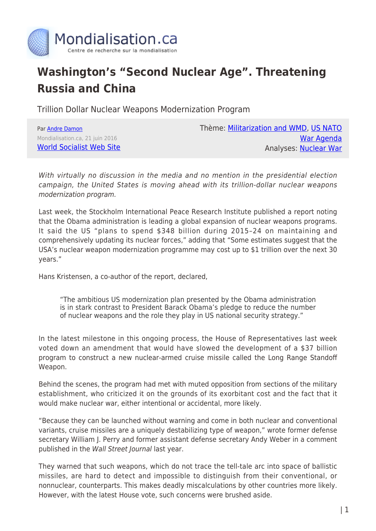

## **Washington's "Second Nuclear Age". Threatening Russia and China**

Trillion Dollar Nuclear Weapons Modernization Program

| Par Andre Damon                 |
|---------------------------------|
| Mondialisation.ca, 21 juin 2016 |
| <b>World Socialist Web Site</b> |

Thème: [Militarization and WMD,](https://www.mondialisation.ca/theme/militarization-and-wmd) [US NATO](https://www.mondialisation.ca/theme/us-nato-war-agenda) [War Agenda](https://www.mondialisation.ca/theme/us-nato-war-agenda) Analyses: [Nuclear War](https://www.mondialisation.ca/indepthreport/nuclear-war)

With virtually no discussion in the media and no mention in the presidential election campaign, the United States is moving ahead with its trillion-dollar nuclear weapons modernization program.

Last week, the Stockholm International Peace Research Institute published a report noting that the Obama administration is leading a global expansion of nuclear weapons programs. It said the US "plans to spend \$348 billion during 2015–24 on maintaining and comprehensively updating its nuclear forces," adding that "Some estimates suggest that the USA's nuclear weapon modernization programme may cost up to \$1 trillion over the next 30 years."

Hans Kristensen, a co-author of the report, declared,

"The ambitious US modernization plan presented by the Obama administration is in stark contrast to President Barack Obama's pledge to reduce the number of nuclear weapons and the role they play in US national security strategy."

In the latest milestone in this ongoing process, the House of Representatives last week voted down an amendment that would have slowed the development of a \$37 billion program to construct a new nuclear-armed cruise missile called the Long Range Standoff Weapon.

Behind the scenes, the program had met with muted opposition from sections of the military establishment, who criticized it on the grounds of its exorbitant cost and the fact that it would make nuclear war, either intentional or accidental, more likely.

"Because they can be launched without warning and come in both nuclear and conventional variants, cruise missiles are a uniquely destabilizing type of weapon," wrote former defense secretary William J. Perry and former assistant defense secretary Andy Weber in a comment published in the Wall Street Journal last year.

They warned that such weapons, which do not trace the tell-tale arc into space of ballistic missiles, are hard to detect and impossible to distinguish from their conventional, or nonnuclear, counterparts. This makes deadly miscalculations by other countries more likely. However, with the latest House vote, such concerns were brushed aside.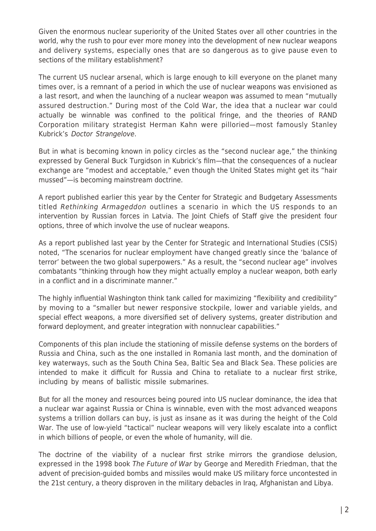Given the enormous nuclear superiority of the United States over all other countries in the world, why the rush to pour ever more money into the development of new nuclear weapons and delivery systems, especially ones that are so dangerous as to give pause even to sections of the military establishment?

The current US nuclear arsenal, which is large enough to kill everyone on the planet many times over, is a remnant of a period in which the use of nuclear weapons was envisioned as a last resort, and when the launching of a nuclear weapon was assumed to mean "mutually assured destruction." During most of the Cold War, the idea that a nuclear war could actually be winnable was confined to the political fringe, and the theories of RAND Corporation military strategist Herman Kahn were pilloried—most famously Stanley Kubrick's Doctor Strangelove.

But in what is becoming known in policy circles as the "second nuclear age," the thinking expressed by General Buck Turgidson in Kubrick's film—that the consequences of a nuclear exchange are "modest and acceptable," even though the United States might get its "hair mussed"—is becoming mainstream doctrine.

A report published earlier this year by the Center for Strategic and Budgetary Assessments titled Rethinking Armageddon outlines a scenario in which the US responds to an intervention by Russian forces in Latvia. The Joint Chiefs of Staff give the president four options, three of which involve the use of nuclear weapons.

As a report published last year by the Center for Strategic and International Studies (CSIS) noted, "The scenarios for nuclear employment have changed greatly since the 'balance of terror' between the two global superpowers." As a result, the "second nuclear age" involves combatants "thinking through how they might actually employ a nuclear weapon, both early in a conflict and in a discriminate manner."

The highly influential Washington think tank called for maximizing "flexibility and credibility" by moving to a "smaller but newer responsive stockpile, lower and variable yields, and special effect weapons, a more diversified set of delivery systems, greater distribution and forward deployment, and greater integration with nonnuclear capabilities."

Components of this plan include the stationing of missile defense systems on the borders of Russia and China, such as the one installed in Romania last month, and the domination of key waterways, such as the South China Sea, Baltic Sea and Black Sea. These policies are intended to make it difficult for Russia and China to retaliate to a nuclear first strike, including by means of ballistic missile submarines.

But for all the money and resources being poured into US nuclear dominance, the idea that a nuclear war against Russia or China is winnable, even with the most advanced weapons systems a trillion dollars can buy, is just as insane as it was during the height of the Cold War. The use of low-yield "tactical" nuclear weapons will very likely escalate into a conflict in which billions of people, or even the whole of humanity, will die.

The doctrine of the viability of a nuclear first strike mirrors the grandiose delusion, expressed in the 1998 book The Future of War by George and Meredith Friedman, that the advent of precision-guided bombs and missiles would make US military force uncontested in the 21st century, a theory disproven in the military debacles in Iraq, Afghanistan and Libya.